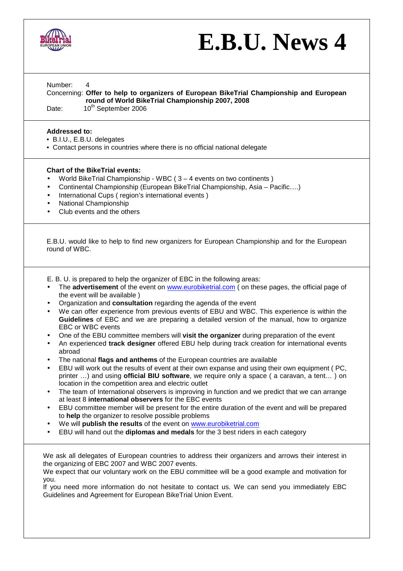

## **E.B.U. News 4**

Number: 4

Concerning: **Offer to help to organizers of European BikeTrial Championship and European round of World BikeTrial Championship 2007, 2008** 

Date: 10<sup>th</sup> September 2006

## **Addressed to:**

- B.I.U., E.B.U. delegates
- Contact persons in countries where there is no official national delegate

## **Chart of the BikeTrial events:**

- World BikeTrial Championship WBC ( 3 4 events on two continents )
- Continental Championship (European BikeTrial Championship, Asia Pacific….)
- International Cups ( region's international events )
- National Championship
- Club events and the others

E.B.U. would like to help to find new organizers for European Championship and for the European round of WBC.

E. B. U. is prepared to help the organizer of EBC in the following areas:

- The **advertisement** of the event on www.eurobiketrial.com ( on these pages, the official page of the event will be available )
- Organization and **consultation** regarding the agenda of the event
- We can offer experience from previous events of EBU and WBC. This experience is within the **Guidelines** of EBC and we are preparing a detailed version of the manual, how to organize EBC or WBC events
- One of the EBU committee members will **visit the organizer** during preparation of the event
- An experienced **track designer** offered EBU help during track creation for international events abroad
- The national **flags and anthems** of the European countries are available
- EBU will work out the results of event at their own expanse and using their own equipment ( PC, printer …) and using **official BIU software**, we require only a space ( a caravan, a tent… ) on location in the competition area and electric outlet
- The team of International observers is improving in function and we predict that we can arrange at least 8 **international observers** for the EBC events
- EBU committee member will be present for the entire duration of the event and will be prepared to **help** the organizer to resolve possible problems
- We will **publish the results** of the event on www.eurobiketrial.com
- EBU will hand out the **diplomas and medals** for the 3 best riders in each category

We ask all delegates of European countries to address their organizers and arrows their interest in the organizing of EBC 2007 and WBC 2007 events.

We expect that our voluntary work on the EBU committee will be a good example and motivation for you.

If you need more information do not hesitate to contact us. We can send you immediately EBC Guidelines and Agreement for European BikeTrial Union Event.